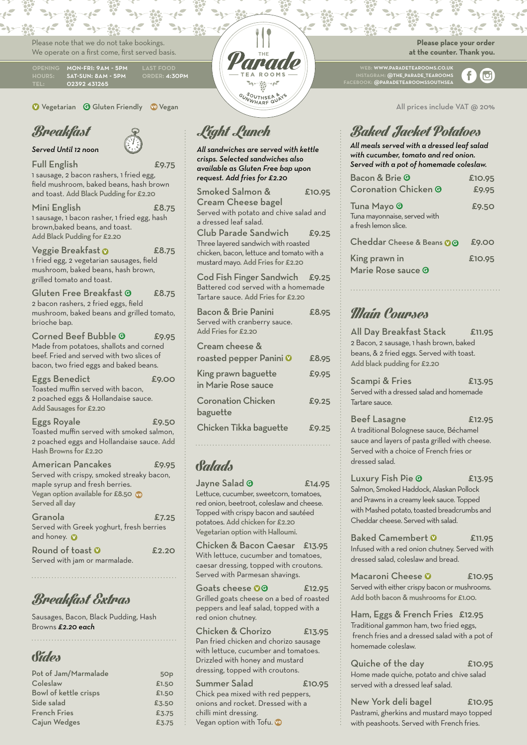Please note that we do not take bookings. We operate on a first come, first served basis.

02392 431265 MON-FRI: 9AM - 5PM SAT-SUN: 8AM - 5PM order: 4:30pm

**v** Vegetarian **G** Gluten Friendly **ve** Vegan

## Breakfast

*Served Until 12 noon*

Full English £9.75 1 sausage, 2 bacon rashers, 1 fried egg, field mushroom, baked beans, hash brown and toast. Add Black Pudding for £2.20

Mini English £8.75 1 sausage, 1 bacon rasher, 1 fried egg, hash brown,baked beans, and toast. Add Black Pudding for £2.20

Veggie Breakfast **v** £8.75 1 fried egg, 2 vegetarian sausages, field mushroom, baked beans, hash brown, grilled tomato and toast.

Gluten Free Breakfast **<sup>G</sup>** £8.75 2 bacon rashers, 2 fried eggs, field mushroom, baked beans and grilled tomato, brioche bap.

Corned Beef Bubble <sup>**G**</sup> £9.95</sup> Made from potatoes, shallots and corned beef. Fried and served with two slices of bacon, two fried eggs and baked beans.

Eggs Benedict E9.00 Toasted muffin served with bacon, 2 poached eggs & Hollandaise sauce. Add Sausages for £2.20 Eggs Royale **Eggs** Royale

Toasted muffin served with smoked salmon, 2 poached eggs and Hollandaise sauce. Add Hash Browns for £2.20

American Pancakes 59.95 Served with crispy, smoked streaky bacon, maple syrup and fresh berries. Vegan option available for £8.50 **ve** Served all day

| Granola                                  | £7.25 |
|------------------------------------------|-------|
| Served with Greek yoghurt, fresh berries |       |
| and honey. <b>O</b>                      |       |
| Round of toast $\odot$                   | £2.2O |
| Served with jam or marmalade.            |       |

## Breakfast Extras

Sausages, Bacon, Black Pudding, Hash Browns *£2.20 each*

## Sides

| Pot of Jam/Marmalade  | 5Op   |
|-----------------------|-------|
| Coleslaw              | £1.50 |
| Bowl of kettle crisps | £1.50 |
| Side salad            | £3.50 |
| <b>French Fries</b>   | £3.75 |
| Cajun Wedges          | £3.75 |



## Light Lunch

*All sandwiches are served with kettle crisps. Selected sandwiches also available as Gluten Free bap upon request. Add fries for £2.20*

| Smoked Salmon &                                                                                                                                      | £10.95 |
|------------------------------------------------------------------------------------------------------------------------------------------------------|--------|
| <b>Cream Cheese bagel</b><br>Served with potato and chive salad and<br>a dressed leaf salad.                                                         |        |
| <b>Club Parade Sandwich</b><br>Three layered sandwich with roasted<br>chicken, bacon, lettuce and tomato with a<br>mustard mayo. Add Fries for £2.20 | £9.25  |
| Cod Fish Finger Sandwich £9.25<br>Battered cod served with a homemade<br>Tartare sauce. Add Fries for £2.20                                          |        |
| Bacon & Brie Panini<br>Served with cranberry sauce.<br>Add Fries for £2.20                                                                           | £8.95  |
| Cream cheese &                                                                                                                                       |        |
| roasted pepper Panini 0                                                                                                                              | £8.95  |
| King prawn baguette<br>in Marie Rose sauce                                                                                                           | £9.95  |
| <b>Coronation Chicken</b><br>baguette                                                                                                                | £9.25  |
| Chicken Tikka baguette                                                                                                                               | £9.25  |

## Salads

Jayne Salad **G** £14.95 Lettuce, cucumber, sweetcorn, tomatoes, red onion, beetroot, coleslaw and cheese. Topped with crispy bacon and sautéed potatoes. Add chicken for £2.20 Vegetarian option with Halloumi.

Chicken & Bacon Caesar £13.95 With lettuce, cucumber and tomatoes, caesar dressing, topped with croutons. Served with Parmesan shavings.

Goats cheese **00** £12.95 Grilled goats cheese on a bed of roasted peppers and leaf salad, topped with a red onion chutney.

Chicken & Chorizo £13.95 Pan fried chicken and chorizo sausage with lettuce, cucumber and tomatoes. Drizzled with honey and mustard dressing, topped with croutons.

Summer Salad £10.95 Chick pea mixed with red peppers, onions and rocket. Dressed with a chilli mint dressing. Vegan option with Tofu. **ve**

#### **Please place your order at the counter. Thank you.**

web: www.paradetearooms.co.uk instagram: @the\_parade\_tearooms facebook: @paradetearoomssouthsea

f  $\sigma$ 

All prices include VAT @ 20%

## Baked Jacket Potatoes

*All meals served with a dressed leaf salad with cucumber, tomato and red onion. Served with a pot of homemade coleslaw.*

| Bacon & Brie O<br><b>Coronation Chicken ®</b>                                  | £10.95<br>£9.95 |
|--------------------------------------------------------------------------------|-----------------|
| Tuna Mayo <sup>O</sup><br>Tuna mayonnaise, served with<br>a fresh lemon slice. | £9.50           |
| Cheddar Cheese & Beans 00                                                      | £9.00           |
| King prawn in<br>Marie Rose sauce <b>O</b>                                     | £10.95          |

## Main Courses

All Day Breakfast Stack £11.95 2 Bacon, 2 sausage, 1 hash brown, baked beans, & 2 fried eggs. Served with toast. Add black pudding for £2.20

Scampi & Fries 13.95 Served with a dressed salad and homemade Tartare sauce.

Beef Lasagne £12.95 A traditional Bolognese sauce, Béchamel sauce and layers of pasta grilled with cheese. Served with a choice of French fries or dressed salad.

Luxury Fish Pie <sup>®</sup> £13.95 Salmon, Smoked Haddock, Alaskan Pollock and Prawns in a creamy leek sauce. Topped with Mashed potato, toasted breadcrumbs and Cheddar cheese. Served with salad.

Baked Camembert **v** £11.95 Infused with a red onion chutney. Served with dressed salad, coleslaw and bread.

Macaroni Cheese <sup>0</sup> £10.95 Served with either crispy bacon or mushrooms. Add both bacon & mushrooms for £1.00.

Ham, Eggs & French Fries £12.95 Traditional gammon ham, two fried eggs, french fries and a dressed salad with a pot of homemade coleslaw.

Quiche of the day £10.95 Home made quiche, potato and chive salad served with a dressed leaf salad.

New York deli bagel £10.95 Pastrami, gherkins and mustard mayo topped with peashoots. Served with French fries.